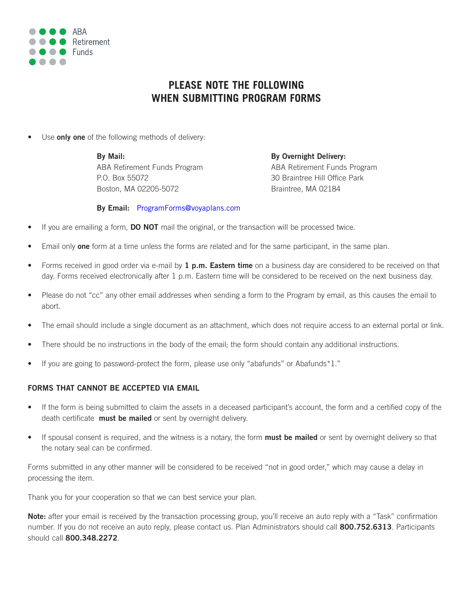

# **PLEASE NOTE THE FOLLOWING WHEN SUBMITTING PROGRAM FORMS**

Use **only one** of the following methods of delivery:

**By Mail: By Overnight Delivery:** P.O. Box 55072 30 Braintree Hill Office Park Boston, MA 02205-5072 Braintree, MA 02184

ABA Retirement Funds Program ABA Retirement Funds Program

# **By Email:** ProgramForms@voyaplans.com

- If you are emailing a form, **DO NOT** mail the original, or the transaction will be processed twice.
- Email only **one** form at a time unless the forms are related and for the same participant, in the same plan.
- Forms received in good order via e-mail by **1 p.m. Eastern time** on a business day are considered to be received on that day. Forms received electronically after 1 p.m. Eastern time will be considered to be received on the next business day.
- Please do not "cc" any other email addresses when sending a form to the Program by email, as this causes the email to abort.
- The email should include a single document as an attachment, which does not require access to an external portal or link.
- There should be no instructions in the body of the email; the form should contain any additional instructions.
- If you are going to password-protect the form, please use only "abafunds" or Abafunds\*1."

# **FORMS THAT CANNOT BE ACCEPTED VIA EMAIL**

- If the form is being submitted to claim the assets in a deceased participant's account, the form and a certified copy of the death certificate **must be mailed** or sent by overnight delivery.
- If spousal consent is required, and the witness is a notary, the form **must be mailed** or sent by overnight delivery so that the notary seal can be confirmed.

Forms submitted in any other manner will be considered to be received "not in good order," which may cause a delay in processing the item.

Thank you for your cooperation so that we can best service your plan.

**Note:** after your email is received by the transaction processing group, you'll receive an auto reply with a "Task" confirmation number. If you do not receive an auto reply, please contact us. Plan Administrators should call **800.752.6313**. Participants should call **800.348.2272**.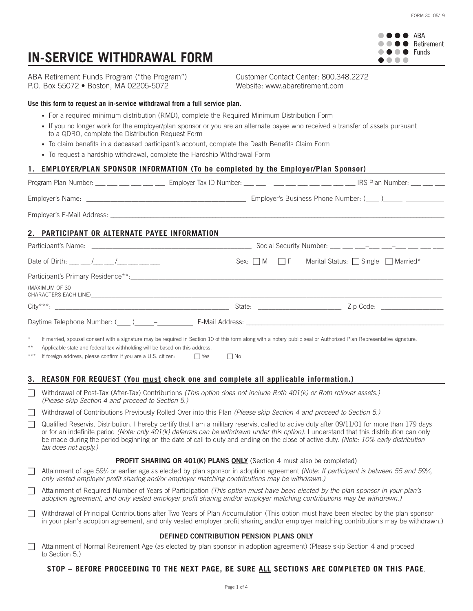**OOO** ARA  $\bullet \bullet \bullet \bullet$  Retirement  $\bullet \bullet \bullet \bullet$  Funds  $\bullet\bullet\bullet\bullet$ 

# **IN-SERVICE WITHDRAWAL FORM**

ABA Retirement Funds Program ("the Program") Customer Contact Center: 800.348.2272 P.O. Box 55072 • Boston, MA 02205-5072 Website: www.abaretirement.com

#### **Use this form to request an in-service withdrawal from a full service plan.**

- For a required minimum distribution (RMD), complete the Required Minimum Distribution Form
- If you no longer work for the employer/plan sponsor or you are an alternate payee who received a transfer of assets pursuant to a QDRO, complete the Distribution Request Form
- To claim benefits in a deceased participant's account, complete the Death Benefits Claim Form
- To request a hardship withdrawal, complete the Hardship Withdrawal Form

# **1. EMPLOYER/PLAN SPONSOR INFORMATION (To be completed by the Employer/Plan Sponsor)**

| Program Plan Number:       | Employer Tax ID Number:<br>and the state of the state of the | IRS Plan Number:         |
|----------------------------|--------------------------------------------------------------|--------------------------|
| Employer's Name:           | Employer's Business Phone Number: (                          | $\overline{\phantom{m}}$ |
| Employer's E-Mail Address: |                                                              |                          |

# **2. PARTICIPANT OR ALTERNATE PAYEE INFORMATION**

| Date of Birth: ___ __ /__ __ /___ __ /___ ___ __                                                                                                                                | Sex: $\Box$ M $\Box$ F |  | Marital Status: $\Box$ Single $\Box$ Married* |
|---------------------------------------------------------------------------------------------------------------------------------------------------------------------------------|------------------------|--|-----------------------------------------------|
|                                                                                                                                                                                 |                        |  |                                               |
| (MAXIMUM OF 30<br>CHARACTERS EACH LINE) DESCRIPTION OF THE SERVICE OF THE SERVICE OF THE SERVICE OF THE SERVICE OF THE SERVICE O                                                |                        |  |                                               |
|                                                                                                                                                                                 |                        |  | State: Zip Code:                              |
|                                                                                                                                                                                 |                        |  |                                               |
| $\star$<br>If married, spousal consent with a signature may be required in Section 10 of this form along with a notary public seal or Authorized Plan Representative signature. |                        |  |                                               |

Applicable state and federal tax withholding will be based on this address.

\*\*\* If foreign address, please confirm if you are a U.S. citizen:  $\Box$  Yes  $\Box$  No

### **3. REASON FOR REQUEST (You must check one and complete all applicable information.)**

c Withdrawal of Post-Tax (After-Tax) Contributions *(This option does not include Roth 401(k) or Roth rollover assets.) (Please skip Section 4 and proceed to Section 5.)*

c Withdrawal of Contributions Previously Rolled Over into this Plan *(Please skip Section 4 and proceed to Section 5.)*

Qualified Reservist Distribution. I hereby certify that I am a military reservist called to active duty after 09/11/01 for more than 179 days or for an indefinite period *(Note: only 401(k) deferrals can be withdrawn under this option)*. I understand that this distribution can only be made during the period beginning on the date of call to duty and ending on the close of active duty. *(Note: 10% early distribution tax does not apply.)*

### **PROFIT SHARING OR 401(K) PLANS ONLY** (Section 4 must also be completed)

c Attainment of age 591 ⁄2 or earlier age as elected by plan sponsor in adoption agreement *(Note: If participant is between 55 and 591 ⁄2, only vested employer profit sharing and/or employer matching contributions may be withdrawn.)*

c Attainment of Required Number of Years of Participation *(This option must have been elected by the plan sponsor in your plan's adoption agreement, and only vested employer profit sharing and/or employer matching contributions may be withdrawn.)*

Withdrawal of Principal Contributions after Two Years of Plan Accumulation (This option must have been elected by the plan sponsor in your plan's adoption agreement, and only vested employer profit sharing and/or employer matching contributions may be withdrawn.)

#### **DEFINED CONTRIBUTION PENSION PLANS ONLY**

c Attainment of Normal Retirement Age (as elected by plan sponsor in adoption agreement) (Please skip Section 4 and proceed to Section 5.)

### **STOP – BEFORE PROCEEDING TO THE NEXT PAGE, BE SURE ALL SECTIONS ARE COMPLETED ON THIS PAGE**.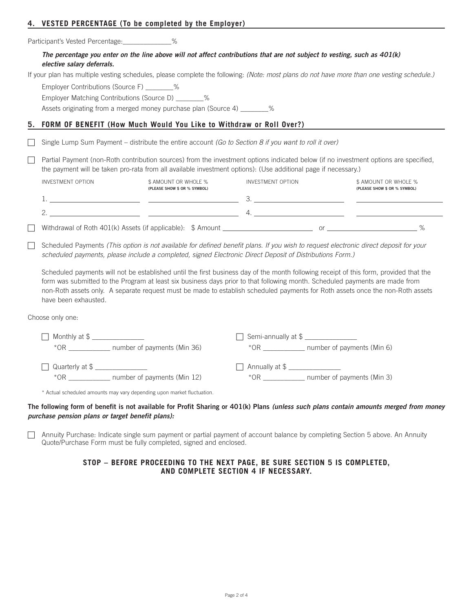# **4. VESTED PERCENTAGE (To be completed by the Employer)**

Participant's Vested Percentage:\_\_\_\_\_\_\_\_\_\_\_\_\_%

# The percentage you enter on the line above will not affect contributions that are not subject to vesting, such as  $401(k)$ *elective salary deferrals.*

If your plan has multiple vesting schedules, please complete the following: *(Note: most plans do not have more than one vesting schedule.)*

Employer Contributions (Source F) \_\_\_\_\_\_\_\_%

Employer Matching Contributions (Source D) \_\_\_\_\_\_\_\_%

Assets originating from a merged money purchase plan (Source 4) \_\_\_\_\_\_\_%

# **5. FORM OF BENEFIT (How Much Would You Like to Withdraw or Roll Over?)**

c Single Lump Sum Payment – distribute the entire account *(Go to Section 8 if you want to roll it over)*

Partial Payment (non-Roth contribution sources) from the investment options indicated below (if no investment options are specified, the payment will be taken pro-rata from all available investment options): (Use additional page if necessary.)

| INVESTMENT OPTION | \$ AMOUNT OR WHOLE %<br>(PLEASE SHOW \$ OR % SYMBOL)        | INVESTMENT OPTION | \$ AMOUNT OR WHOLE %<br>(PLEASE SHOW \$ OR % SYMBOL) |
|-------------------|-------------------------------------------------------------|-------------------|------------------------------------------------------|
|                   |                                                             |                   |                                                      |
|                   |                                                             |                   |                                                      |
|                   | Withdrawal of Roth 401(k) Assets (if applicable): \$ Amount | Οľ                |                                                      |

Scheduled Payments (This option is not available for defined benefit plans. If you wish to request electronic direct deposit for your *scheduled payments, please include a completed, signed Electronic Direct Deposit of Distributions Form.)*

Scheduled payments will not be established until the first business day of the month following receipt of this form, provided that the form was submitted to the Program at least six business days prior to that following month. Scheduled payments are made from non-Roth assets only. A separate request must be made to establish scheduled payments for Roth assets once the non-Roth assets have been exhausted.

Choose only one:

| Monthly at \$                         | $\Box$ Semi-annually at \$ $\rule{1em}{0.15mm}$ |
|---------------------------------------|-------------------------------------------------|
| $*$ OR<br>number of payments (Min 36) | number of payments (Min 6)<br>$*$ OR            |
|                                       |                                                 |
| Quarterly at \$                       | Annually at \$                                  |
| number of payments (Min 12)<br>$*$ OR | number of payments (Min 3)<br>*OR               |

\* Actual scheduled amounts may vary depending upon market fluctuation.

### The following form of benefit is not available for Profit Sharing or 401(k) Plans (unless such plans contain amounts merged from money *purchase pension plans or target benefit plans):*

 $\Box$  Annuity Purchase: Indicate single sum payment or partial payment of account balance by completing Section 5 above. An Annuity Quote/Purchase Form must be fully completed, signed and enclosed.

# **STOP – BEFORE PROCEEDING TO THE NEXT PAGE, BE SURE SECTION 5 IS COMPLETED, AND COMPLETE SECTION 4 IF NECESSARY.**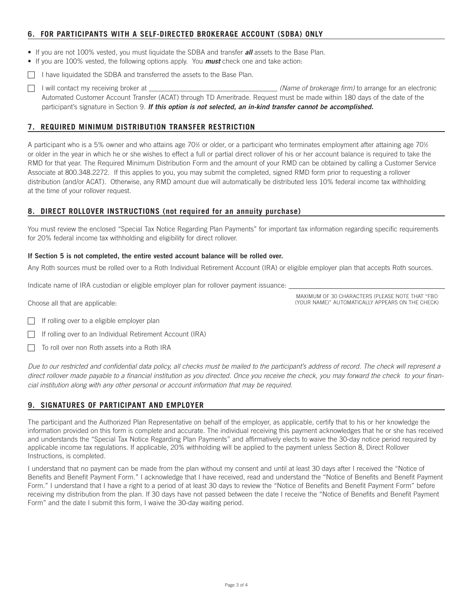# **6. FOR PARTICIPANTS WITH A SELF-DIRECTED BROKERAGE ACCOUNT (SDBA) ONLY**

- If you are not 100% vested, you must liquidate the SDBA and transfer *all* assets to the Base Plan.
- If you are 100% vested, the following options apply. You *must* check one and take action:
- $\Box$  I have liquidated the SDBA and transferred the assets to the Base Plan.
- c I will contact my receiving broker at \_\_\_\_\_\_\_\_\_\_\_\_\_\_\_\_\_\_\_\_\_\_\_\_\_\_\_\_\_\_\_\_\_\_\_\_\_ *(Name of brokerage firm)* to arrange for an electronic Automated Customer Account Transfer (ACAT) through TD Ameritrade. Request must be made within 180 days of the date of the participant's signature in Section 9. *If this option is not selected, an in-kind transfer cannot be accomplished.*

# **7. REQUIRED MINIMUM DISTRIBUTION TRANSFER RESTRICTION**

A participant who is a 5% owner and who attains age 70½ or older, or a participant who terminates employment after attaining age 70½ or older in the year in which he or she wishes to effect a full or partial direct rollover of his or her account balance is required to take the RMD for that year. The Required Minimum Distribution Form and the amount of your RMD can be obtained by calling a Customer Service Associate at 800.348.2272. If this applies to you, you may submit the completed, signed RMD form prior to requesting a rollover distribution (and/or ACAT). Otherwise, any RMD amount due will automatically be distributed less 10% federal income tax withholding at the time of your rollover request.

# **8. DIRECT ROLLOVER INSTRUCTIONS (not required for an annuity purchase)**

You must review the enclosed "Special Tax Notice Regarding Plan Payments" for important tax information regarding specific requirements for 20% federal income tax withholding and eligibility for direct rollover.

### **If Section 5 is not completed, the entire vested account balance will be rolled over.**

Any Roth sources must be rolled over to a Roth Individual Retirement Account (IRA) or eligible employer plan that accepts Roth sources.

Indicate name of IRA custodian or eligible employer plan for rollover payment issuance:

Choose all that are applicable:

MAXIMUM OF 30 CHARACTERS (PLEASE NOTE THAT "FBO (YOUR NAME)" AUTOMATICALLY APPEARS ON THE CHECK)

- $\Box$  If rolling over to a eligible employer plan
- If rolling over to an Individual Retirement Account (IRA)
- $\Box$  To roll over non Roth assets into a Roth IRA

Due to our restricted and confidential data policy, all checks must be mailed to the participant's address of record. The check will represent a direct rollover made payable to a financial institution as you directed. Once you receive the check, you may forward the check to your finan*cial institution along with any other personal or account information that may be required.*

# **9. SIGNATURES OF PARTICIPANT AND EMPLOYER**

The participant and the Authorized Plan Representative on behalf of the employer, as applicable, certify that to his or her knowledge the information provided on this form is complete and accurate. The individual receiving this payment acknowledges that he or she has received and understands the "Special Tax Notice Regarding Plan Payments" and affirmatively elects to waive the 30-day notice period required by applicable income tax regulations. If applicable, 20% withholding will be applied to the payment unless Section 8, Direct Rollover Instructions, is completed.

I understand that no payment can be made from the plan without my consent and until at least 30 days after I received the "Notice of Benefits and Benefit Payment Form." I acknowledge that I have received, read and understand the "Notice of Benefits and Benefit Payment Form." I understand that I have a right to a period of at least 30 days to review the "Notice of Benefits and Benefit Payment Form" before receiving my distribution from the plan. If 30 days have not passed between the date I receive the "Notice of Benefits and Benefit Payment Form" and the date I submit this form, I waive the 30-day waiting period.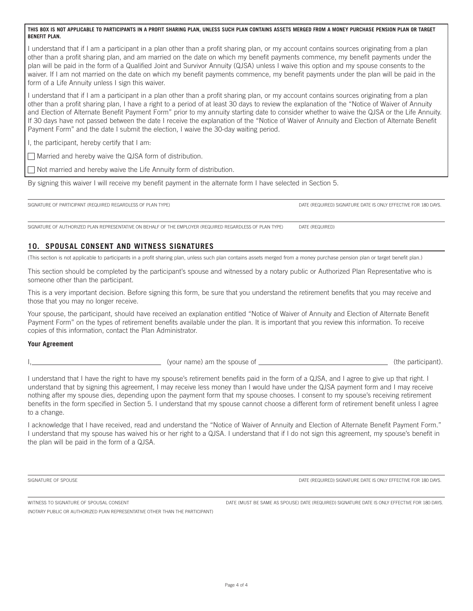I understand that if I am a participant in a plan other than a profit sharing plan, or my account contains sources originating from a plan other than a profit sharing plan, and am married on the date on which my benefit payments commence, my benefit payments under the plan will be paid in the form of a Qualified Joint and Survivor Annuity (QJSA) unless I waive this option and my spouse consents to the waiver. If I am not married on the date on which my benefit payments commence, my benefit payments under the plan will be paid in the form of a Life Annuity unless I sign this waiver.

I understand that if I am a participant in a plan other than a profit sharing plan, or my account contains sources originating from a plan other than a profit sharing plan, I have a right to a period of at least 30 days to review the explanation of the "Notice of Waiver of Annuity and Election of Alternate Benefit Payment Form" prior to my annuity starting date to consider whether to waive the QJSA or the Life Annuity. If 30 days have not passed between the date I receive the explanation of the "Notice of Waiver of Annuity and Election of Alternate Benefit Payment Form" and the date I submit the election, I waive the 30-day waiting period.

I, the participant, hereby certify that I am:

 $\Box$  Married and hereby waive the QJSA form of distribution.

 $\Box$  Not married and hereby waive the Life Annuity form of distribution.

By signing this waiver I will receive my benefit payment in the alternate form I have selected in Section 5.

SIGNATURE OF PARTICIPANT (REQUIRED REGARDLESS OF PLAN TYPE) DATE ONLY ETHER CONTROLLED DATE IS ONLY THE CONLY EFFECTIVE FOR 180 DAYS.

SIGNATURE OF AUTHORIZED PLAN REPRESENTATIVE ON BEHALF OF THE EMPLOYER (REQUIRED REGARDLESS OF PLAN TYPE) DATE (REQUIRED)

# **10. SPOUSAL CONSENT AND WITNESS SIGNATURES**

(This section is not applicable to participants in a profit sharing plan, unless such plan contains assets merged from a money purchase pension plan or target benefit plan.)

This section should be completed by the participant's spouse and witnessed by a notary public or Authorized Plan Representative who is someone other than the participant.

This is a very important decision. Before signing this form, be sure that you understand the retirement benefits that you may receive and those that you may no longer receive.

Your spouse, the participant, should have received an explanation entitled "Notice of Waiver of Annuity and Election of Alternate Benefit Payment Form" on the types of retirement benefits available under the plan. It is important that you review this information. To receive copies of this information, contact the Plan Administrator.

### **Your Agreement**

(your name) am the spouse of (the participant).

I understand that I have the right to have my spouse's retirement benefits paid in the form of a QJSA, and I agree to give up that right. I understand that by signing this agreement, I may receive less money than I would have under the QJSA payment form and I may receive nothing after my spouse dies, depending upon the payment form that my spouse chooses. I consent to my spouse's receiving retirement benefits in the form specified in Section 5. I understand that my spouse cannot choose a different form of retirement benefit unless I agree to a change.

I acknowledge that I have received, read and understand the "Notice of Waiver of Annuity and Election of Alternate Benefit Payment Form." I understand that my spouse has waived his or her right to a QJSA. I understand that if I do not sign this agreement, my spouse's benefit in the plan will be paid in the form of a QJSA.

SIGNATURE OF SPOUSE DATE OF SPOUSE DATE OF SPOUSE DATE (REQUIRED) SIGNATURE DATE IS ONLY EFFECTIVE FOR 180 DAYS.

WITNESS TO SIGNATURE OF SPOUSAL CONSENT **DATE ALL ASSESS** DATE (MUST BE SAME AS SPOUSE) DATE (REQUIRED) SIGNATURE DATE IS ONLY EFFECTIVE FOR 180 DAYS.

(NOTARY PUBLIC OR AUTHORIZED PLAN REPRESENTATIVE OTHER THAN THE PARTICIPANT)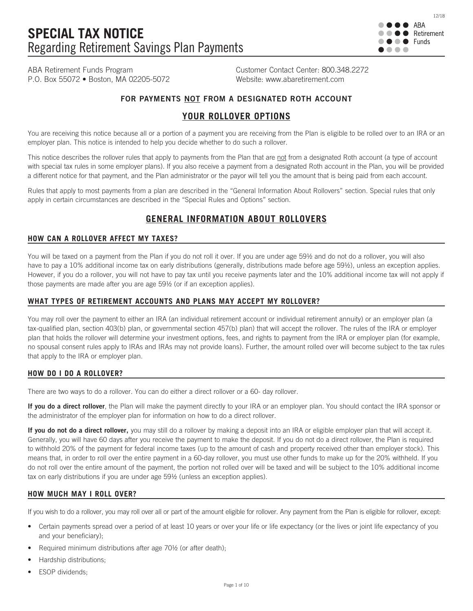

ABA Retirement Funds Program Customer Contact Center: 800.348.2272 P.O. Box 55072 • Boston, MA 02205-5072 Website: www.abaretirement.com

# **FOR PAYMENTS NOT FROM A DESIGNATED ROTH ACCOUNT**

# **YOUR ROLLOVER OPTIONS**

You are receiving this notice because all or a portion of a payment you are receiving from the Plan is eligible to be rolled over to an IRA or an employer plan. This notice is intended to help you decide whether to do such a rollover.

This notice describes the rollover rules that apply to payments from the Plan that are not from a designated Roth account (a type of account with special tax rules in some employer plans). If you also receive a payment from a designated Roth account in the Plan, you will be provided a different notice for that payment, and the Plan administrator or the payor will tell you the amount that is being paid from each account.

Rules that apply to most payments from a plan are described in the "General Information About Rollovers" section. Special rules that only apply in certain circumstances are described in the "Special Rules and Options" section.

# **GENERAL INFORMATION ABOUT ROLLOVERS**

# **HOW CAN A ROLLOVER AFFECT MY TAXES?**

You will be taxed on a payment from the Plan if you do not roll it over. If you are under age 59½ and do not do a rollover, you will also have to pay a 10% additional income tax on early distributions (generally, distributions made before age 59½), unless an exception applies. However, if you do a rollover, you will not have to pay tax until you receive payments later and the 10% additional income tax will not apply if those payments are made after you are age 59½ (or if an exception applies).

# **WHAT TYPES OF RETIREMENT ACCOUNTS AND PLANS MAY ACCEPT MY ROLLOVER?**

You may roll over the payment to either an IRA (an individual retirement account or individual retirement annuity) or an employer plan (a tax-qualified plan, section 403(b) plan, or governmental section 457(b) plan) that will accept the rollover. The rules of the IRA or employer plan that holds the rollover will determine your investment options, fees, and rights to payment from the IRA or employer plan (for example, no spousal consent rules apply to IRAs and IRAs may not provide loans). Further, the amount rolled over will become subject to the tax rules that apply to the IRA or employer plan.

# **HOW DO I DO A ROLLOVER?**

There are two ways to do a rollover. You can do either a direct rollover or a 60- day rollover.

If you do a direct rollover, the Plan will make the payment directly to your IRA or an employer plan. You should contact the IRA sponsor or the administrator of the employer plan for information on how to do a direct rollover.

If you do not do a direct rollover, you may still do a rollover by making a deposit into an IRA or eligible employer plan that will accept it. Generally, you will have 60 days after you receive the payment to make the deposit. If you do not do a direct rollover, the Plan is required to withhold 20% of the payment for federal income taxes (up to the amount of cash and property received other than employer stock). This means that, in order to roll over the entire payment in a 60-day rollover, you must use other funds to make up for the 20% withheld. If you do not roll over the entire amount of the payment, the portion not rolled over will be taxed and will be subject to the 10% additional income tax on early distributions if you are under age 59½ (unless an exception applies).

# **HOW MUCH MAY I ROLL OVER?**

If you wish to do a rollover, you may roll over all or part of the amount eligible for rollover. Any payment from the Plan is eligible for rollover, except:

- Certain payments spread over a period of at least 10 years or over your life or life expectancy (or the lives or joint life expectancy of you and your beneficiary);
- Required minimum distributions after age 70½ (or after death);
- Hardship distributions;
- **ESOP** dividends;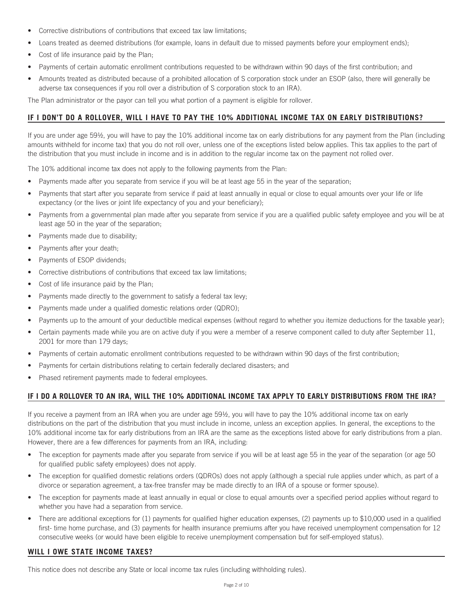- Corrective distributions of contributions that exceed tax law limitations;
- Loans treated as deemed distributions (for example, loans in default due to missed payments before your employment ends);
- Cost of life insurance paid by the Plan;
- Payments of certain automatic enrollment contributions requested to be withdrawn within 90 days of the first contribution; and
- Amounts treated as distributed because of a prohibited allocation of S corporation stock under an ESOP (also, there will generally be adverse tax consequences if you roll over a distribution of S corporation stock to an IRA).

The Plan administrator or the payor can tell you what portion of a payment is eligible for rollover.

# **IF I DON'T DO A ROLLOVER, WILL I HAVE TO PAY THE 10% ADDITIONAL INCOME TAX ON EARLY DISTRIBUTIONS?**

If you are under age 59½, you will have to pay the 10% additional income tax on early distributions for any payment from the Plan (including amounts withheld for income tax) that you do not roll over, unless one of the exceptions listed below applies. This tax applies to the part of the distribution that you must include in income and is in addition to the regular income tax on the payment not rolled over.

The 10% additional income tax does not apply to the following payments from the Plan:

- Payments made after you separate from service if you will be at least age 55 in the year of the separation;
- Payments that start after you separate from service if paid at least annually in equal or close to equal amounts over your life or life expectancy (or the lives or joint life expectancy of you and your beneficiary);
- Payments from a governmental plan made after you separate from service if you are a qualified public safety employee and you will be at least age 50 in the year of the separation;
- Payments made due to disability;
- Payments after your death;
- Payments of ESOP dividends;
- Corrective distributions of contributions that exceed tax law limitations;
- Cost of life insurance paid by the Plan;
- Payments made directly to the government to satisfy a federal tax levy;
- Payments made under a qualified domestic relations order (QDRO);
- Payments up to the amount of your deductible medical expenses (without regard to whether you itemize deductions for the taxable year);
- Certain payments made while you are on active duty if you were a member of a reserve component called to duty after September 11, 2001 for more than 179 days;
- Payments of certain automatic enrollment contributions requested to be withdrawn within 90 days of the first contribution;
- Payments for certain distributions relating to certain federally declared disasters; and
- Phased retirement payments made to federal employees.

# **IF I DO A ROLLOVER TO AN IRA, WILL THE 10% ADDITIONAL INCOME TAX APPLY TO EARLY DISTRIBUTIONS FROM THE IRA?**

If you receive a payment from an IRA when you are under age 59½, you will have to pay the 10% additional income tax on early distributions on the part of the distribution that you must include in income, unless an exception applies. In general, the exceptions to the 10% additional income tax for early distributions from an IRA are the same as the exceptions listed above for early distributions from a plan. However, there are a few differences for payments from an IRA, including:

- The exception for payments made after you separate from service if you will be at least age 55 in the year of the separation (or age 50 for qualified public safety employees) does not apply.
- The exception for qualified domestic relations orders (QDROs) does not apply (although a special rule applies under which, as part of a divorce or separation agreement, a tax-free transfer may be made directly to an IRA of a spouse or former spouse).
- The exception for payments made at least annually in equal or close to equal amounts over a specified period applies without regard to whether you have had a separation from service.
- There are additional exceptions for (1) payments for qualified higher education expenses, (2) payments up to \$10,000 used in a qualified first- time home purchase, and (3) payments for health insurance premiums after you have received unemployment compensation for 12 consecutive weeks (or would have been eligible to receive unemployment compensation but for self-employed status).

# **WILL I OWE STATE INCOME TAXES?**

This notice does not describe any State or local income tax rules (including withholding rules).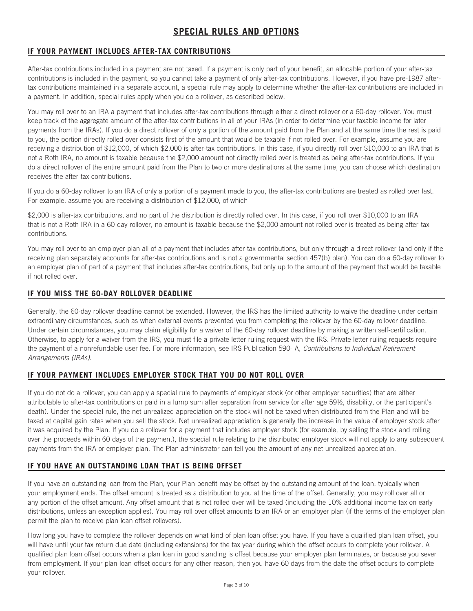# **SPECIAL RULES AND OPTIONS**

# **IF YOUR PAYMENT INCLUDES AFTER-TAX CONTRIBUTIONS**

After-tax contributions included in a payment are not taxed. If a payment is only part of your benefit, an allocable portion of your after-tax contributions is included in the payment, so you cannot take a payment of only after-tax contributions. However, if you have pre-1987 aftertax contributions maintained in a separate account, a special rule may apply to determine whether the after-tax contributions are included in a payment. In addition, special rules apply when you do a rollover, as described below.

You may roll over to an IRA a payment that includes after-tax contributions through either a direct rollover or a 60-day rollover. You must keep track of the aggregate amount of the after-tax contributions in all of your IRAs (in order to determine your taxable income for later payments from the IRAs). If you do a direct rollover of only a portion of the amount paid from the Plan and at the same time the rest is paid to you, the portion directly rolled over consists first of the amount that would be taxable if not rolled over. For example, assume you are receiving a distribution of \$12,000, of which \$2,000 is after-tax contributions. In this case, if you directly roll over \$10,000 to an IRA that is not a Roth IRA, no amount is taxable because the \$2,000 amount not directly rolled over is treated as being after-tax contributions. If you do a direct rollover of the entire amount paid from the Plan to two or more destinations at the same time, you can choose which destination receives the after-tax contributions.

If you do a 60-day rollover to an IRA of only a portion of a payment made to you, the after-tax contributions are treated as rolled over last. For example, assume you are receiving a distribution of \$12,000, of which

\$2,000 is after-tax contributions, and no part of the distribution is directly rolled over. In this case, if you roll over \$10,000 to an IRA that is not a Roth IRA in a 60-day rollover, no amount is taxable because the \$2,000 amount not rolled over is treated as being after-tax contributions.

You may roll over to an employer plan all of a payment that includes after-tax contributions, but only through a direct rollover (and only if the receiving plan separately accounts for after-tax contributions and is not a governmental section 457(b) plan). You can do a 60-day rollover to an employer plan of part of a payment that includes after-tax contributions, but only up to the amount of the payment that would be taxable if not rolled over.

# **IF YOU MISS THE 60-DAY ROLLOVER DEADLINE**

Generally, the 60-day rollover deadline cannot be extended. However, the IRS has the limited authority to waive the deadline under certain extraordinary circumstances, such as when external events prevented you from completing the rollover by the 60-day rollover deadline. Under certain circumstances, you may claim eligibility for a waiver of the 60-day rollover deadline by making a written self-certification. Otherwise, to apply for a waiver from the IRS, you must file a private letter ruling request with the IRS. Private letter ruling requests require the payment of a nonrefundable user fee. For more information, see IRS Publication 590- A, *Contributions to Individual Retirement Arrangements (IRAs)*.

# **IF YOUR PAYMENT INCLUDES EMPLOYER STOCK THAT YOU DO NOT ROLL OVER**

If you do not do a rollover, you can apply a special rule to payments of employer stock (or other employer securities) that are either attributable to after-tax contributions or paid in a lump sum after separation from service (or after age 59½, disability, or the participant's death). Under the special rule, the net unrealized appreciation on the stock will not be taxed when distributed from the Plan and will be taxed at capital gain rates when you sell the stock. Net unrealized appreciation is generally the increase in the value of employer stock after it was acquired by the Plan. If you do a rollover for a payment that includes employer stock (for example, by selling the stock and rolling over the proceeds within 60 days of the payment), the special rule relating to the distributed employer stock will not apply to any subsequent payments from the IRA or employer plan. The Plan administrator can tell you the amount of any net unrealized appreciation.

# **IF YOU HAVE AN OUTSTANDING LOAN THAT IS BEING OFFSET**

If you have an outstanding loan from the Plan, your Plan benefit may be offset by the outstanding amount of the loan, typically when your employment ends. The offset amount is treated as a distribution to you at the time of the offset. Generally, you may roll over all or any portion of the offset amount. Any offset amount that is not rolled over will be taxed (including the 10% additional income tax on early distributions, unless an exception applies). You may roll over offset amounts to an IRA or an employer plan (if the terms of the employer plan permit the plan to receive plan loan offset rollovers).

How long you have to complete the rollover depends on what kind of plan loan offset you have. If you have a qualified plan loan offset, you will have until your tax return due date (including extensions) for the tax year during which the offset occurs to complete your rollover. A qualified plan loan offset occurs when a plan loan in good standing is offset because your employer plan terminates, or because you sever from employment. If your plan loan offset occurs for any other reason, then you have 60 days from the date the offset occurs to complete your rollover.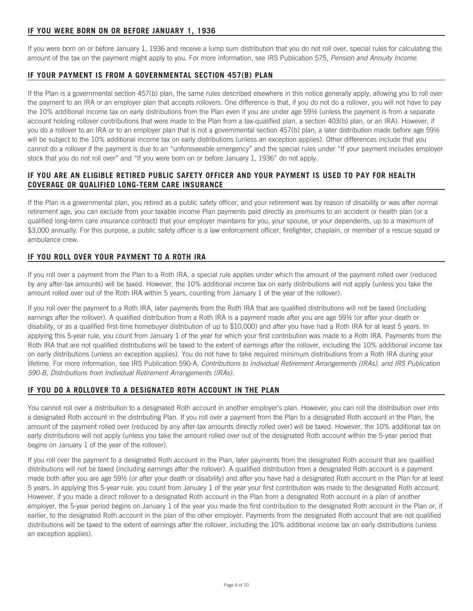If you were born on or before January 1, 1936 and receive a lump sum distribution that you do not roll over, special rules for calculating the amount of the tax on the payment might apply to you. For more information, see IRS Publication 575, *Pension and Annuity Income.*

# **IF YOUR PAYMENT IS FROM A GOVERNMENTAL SECTION 457(B) PLAN**

If the Plan is a governmental section 457(b) plan, the same rules described elsewhere in this notice generally apply, allowing you to roll over the payment to an IRA or an employer plan that accepts rollovers. One difference is that, if you do not do a rollover, you will not have to pay the 10% additional income tax on early distributions from the Plan even if you are under age 59½ (unless the payment is from a separate account holding rollover contributions that were made to the Plan from a tax-qualified plan, a section 403(b) plan, or an IRA). However, if you do a rollover to an IRA or to an employer plan that is not a governmental section 457(b) plan, a later distribution made before age 59½ will be subject to the 10% additional income tax on early distributions (unless an exception applies). Other differences include that you cannot do a rollover if the payment is due to an "unforeseeable emergency" and the special rules under "If your payment includes employer stock that you do not roll over" and "If you were born on or before January 1, 1936" do not apply.

# **IF YOU ARE AN ELIGIBLE RETIRED PUBLIC SAFETY OFFICER AND YOUR PAYMENT IS USED TO PAY FOR HEALTH COVERAGE OR QUALIFIED LONG-TERM CARE INSURANCE**

If the Plan is a governmental plan, you retired as a public safety officer, and your retirement was by reason of disability or was after normal retirement age, you can exclude from your taxable income Plan payments paid directly as premiums to an accident or health plan (or a qualified long-term care insurance contract) that your employer maintains for you, your spouse, or your dependents, up to a maximum of \$3,000 annually. For this purpose, a public safety officer is a law enforcement officer, firefighter, chaplain, or member of a rescue squad or ambulance crew.

# **IF YOU ROLL OVER YOUR PAYMENT TO A ROTH IRA**

If you roll over a payment from the Plan to a Roth IRA, a special rule applies under which the amount of the payment rolled over (reduced by any after-tax amounts) will be taxed. However, the 10% additional income tax on early distributions will not apply (unless you take the amount rolled over out of the Roth IRA within 5 years, counting from January 1 of the year of the rollover).

If you roll over the payment to a Roth IRA, later payments from the Roth IRA that are qualified distributions will not be taxed (including earnings after the rollover). A qualified distribution from a Roth IRA is a payment made after you are age 59½ (or after your death or disability, or as a qualified first-time homebuyer distribution of up to \$10,000) and after you have had a Roth IRA for at least 5 years. In applying this 5-year rule, you count from January 1 of the year for which your first contribution was made to a Roth IRA. Payments from the Roth IRA that are not qualified distributions will be taxed to the extent of earnings after the rollover, including the 10% additional income tax on early distributions (unless an exception applies). You do not have to take required minimum distributions from a Roth IRA during your lifetime. For more information, see IRS Publication 590-A, *Contributions to Individual Retirement Arrangements (IRAs), and IRS Publication 590-B, Distributions from Individual Retirement Arrangements (IRAs).*

# **IF YOU DO A ROLLOVER TO A DESIGNATED ROTH ACCOUNT IN THE PLAN**

You cannot roll over a distribution to a designated Roth account in another employer's plan. However, you can roll the distribution over into a designated Roth account in the distributing Plan. If you roll over a payment from the Plan to a designated Roth account in the Plan, the amount of the payment rolled over (reduced by any after-tax amounts directly rolled over) will be taxed. However, the 10% additional tax on early distributions will not apply (unless you take the amount rolled over out of the designated Roth account within the 5-year period that begins on January 1 of the year of the rollover).

If you roll over the payment to a designated Roth account in the Plan, later payments from the designated Roth account that are qualified distributions will not be taxed (including earnings after the rollover). A qualified distribution from a designated Roth account is a payment made both after you are age 59½ (or after your death or disability) and after you have had a designated Roth account in the Plan for at least 5 years. In applying this 5-year rule, you count from January 1 of the year your first contribution was made to the designated Roth account. However, if you made a direct rollover to a designated Roth account in the Plan from a designated Roth account in a plan of another employer, the 5-year period begins on January 1 of the year you made the first contribution to the designated Roth account in the Plan or, if earlier, to the designated Roth account in the plan of the other employer. Payments from the designated Roth account that are not qualified distributions will be taxed to the extent of earnings after the rollover, including the 10% additional income tax on early distributions (unless an exception applies).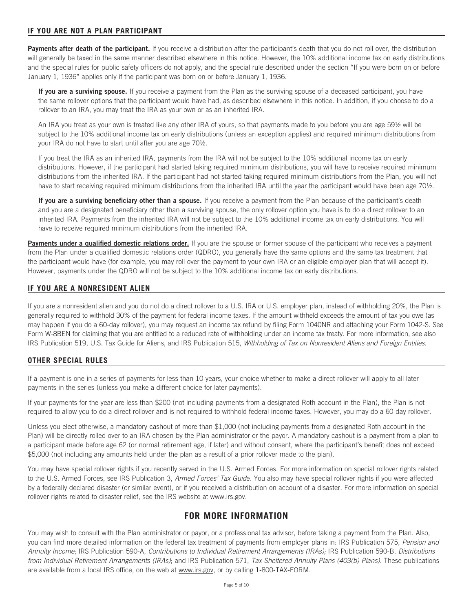# **IF YOU ARE NOT A PLAN PARTICIPANT**

**Payments after death of the participant.** If you receive a distribution after the participant's death that you do not roll over, the distribution will generally be taxed in the same manner described elsewhere in this notice. However, the 10% additional income tax on early distributions and the special rules for public safety officers do not apply, and the special rule described under the section "If you were born on or before January 1, 1936" applies only if the participant was born on or before January 1, 1936.

**If you are a surviving spouse.** If you receive a payment from the Plan as the surviving spouse of a deceased participant, you have the same rollover options that the participant would have had, as described elsewhere in this notice. In addition, if you choose to do a rollover to an IRA, you may treat the IRA as your own or as an inherited IRA.

An IRA you treat as your own is treated like any other IRA of yours, so that payments made to you before you are age 59½ will be subject to the 10% additional income tax on early distributions (unless an exception applies) and required minimum distributions from your IRA do not have to start until after you are age 70½.

If you treat the IRA as an inherited IRA, payments from the IRA will not be subject to the 10% additional income tax on early distributions. However, if the participant had started taking required minimum distributions, you will have to receive required minimum distributions from the inherited IRA. If the participant had not started taking required minimum distributions from the Plan, you will not have to start receiving required minimum distributions from the inherited IRA until the year the participant would have been age 70½.

**If you are a surviving beneficiary other than a spouse.** If you receive a payment from the Plan because of the participant's death and you are a designated beneficiary other than a surviving spouse, the only rollover option you have is to do a direct rollover to an inherited IRA. Payments from the inherited IRA will not be subject to the 10% additional income tax on early distributions. You will have to receive required minimum distributions from the inherited IRA.

Payments under a qualified domestic relations order. If you are the spouse or former spouse of the participant who receives a payment from the Plan under a qualified domestic relations order (QDRO), you generally have the same options and the same tax treatment that the participant would have (for example, you may roll over the payment to your own IRA or an eligible employer plan that will accept it). However, payments under the QDRO will not be subject to the 10% additional income tax on early distributions.

# **IF YOU ARE A NONRESIDENT ALIEN**

If you are a nonresident alien and you do not do a direct rollover to a U.S. IRA or U.S. employer plan, instead of withholding 20%, the Plan is generally required to withhold 30% of the payment for federal income taxes. If the amount withheld exceeds the amount of tax you owe (as may happen if you do a 60-day rollover), you may request an income tax refund by filing Form 1040NR and attaching your Form 1042-S. See Form W-8BEN for claiming that you are entitled to a reduced rate of withholding under an income tax treaty. For more information, see also IRS Publication 519, U.S. Tax Guide for Aliens, and IRS Publication 515, *Withholding of Tax on Nonresident Aliens and Foreign Entities.*

# **OTHER SPECIAL RULES**

If a payment is one in a series of payments for less than 10 years, your choice whether to make a direct rollover will apply to all later payments in the series (unless you make a different choice for later payments).

If your payments for the year are less than \$200 (not including payments from a designated Roth account in the Plan), the Plan is not required to allow you to do a direct rollover and is not required to withhold federal income taxes. However, you may do a 60-day rollover.

Unless you elect otherwise, a mandatory cashout of more than \$1,000 (not including payments from a designated Roth account in the Plan) will be directly rolled over to an IRA chosen by the Plan administrator or the payor. A mandatory cashout is a payment from a plan to a participant made before age 62 (or normal retirement age, if later) and without consent, where the participant's benefit does not exceed \$5,000 (not including any amounts held under the plan as a result of a prior rollover made to the plan).

You may have special rollover rights if you recently served in the U.S. Armed Forces. For more information on special rollover rights related to the U.S. Armed Forces, see IRS Publication 3, *Armed Forces' Tax Guid*e. You also may have special rollover rights if you were affected by a federally declared disaster (or similar event), or if you received a distribution on account of a disaster. For more information on special rollover rights related to disaster relief, see the IRS website at www.irs.gov.

# **FOR MORE INFORMATION**

You may wish to consult with the Plan administrator or payor, or a professional tax advisor, before taking a payment from the Plan. Also, you can find more detailed information on the federal tax treatment of payments from employer plans in: IRS Publication 575, *Pension and Annuity Income*; IRS Publication 590-A, *Contributions to Individual Retirement Arrangements (IRAs);* IRS Publication 590-B, *Distributions from Individual Retirement Arrangements (IRAs)*; and IRS Publication 571, *Tax-Sheltered Annuity Plans (403(b) Plans)*. These publications are available from a local IRS office, on the web at www.irs.gov, or by calling 1-800-TAX-FORM.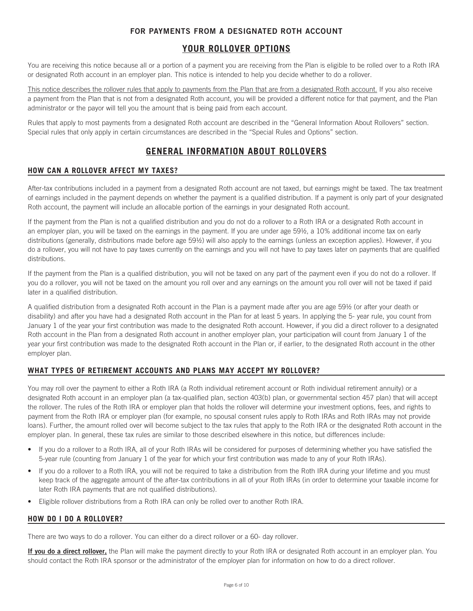# **FOR PAYMENTS FROM A DESIGNATED ROTH ACCOUNT**

# **YOUR ROLLOVER OPTIONS**

You are receiving this notice because all or a portion of a payment you are receiving from the Plan is eligible to be rolled over to a Roth IRA or designated Roth account in an employer plan. This notice is intended to help you decide whether to do a rollover.

This notice describes the rollover rules that apply to payments from the Plan that are from a designated Roth account. If you also receive a payment from the Plan that is not from a designated Roth account, you will be provided a different notice for that payment, and the Plan administrator or the payor will tell you the amount that is being paid from each account.

Rules that apply to most payments from a designated Roth account are described in the "General Information About Rollovers" section. Special rules that only apply in certain circumstances are described in the "Special Rules and Options" section.

# **GENERAL INFORMATION ABOUT ROLLOVERS**

# **HOW CAN A ROLLOVER AFFECT MY TAXES?**

After-tax contributions included in a payment from a designated Roth account are not taxed, but earnings might be taxed. The tax treatment of earnings included in the payment depends on whether the payment is a qualified distribution. If a payment is only part of your designated Roth account, the payment will include an allocable portion of the earnings in your designated Roth account.

If the payment from the Plan is not a qualified distribution and you do not do a rollover to a Roth IRA or a designated Roth account in an employer plan, you will be taxed on the earnings in the payment. If you are under age 59½, a 10% additional income tax on early distributions (generally, distributions made before age 59½) will also apply to the earnings (unless an exception applies). However, if you do a rollover, you will not have to pay taxes currently on the earnings and you will not have to pay taxes later on payments that are qualified distributions.

If the payment from the Plan is a qualified distribution, you will not be taxed on any part of the payment even if you do not do a rollover. If you do a rollover, you will not be taxed on the amount you roll over and any earnings on the amount you roll over will not be taxed if paid later in a qualified distribution.

A qualified distribution from a designated Roth account in the Plan is a payment made after you are age 59½ (or after your death or disability) and after you have had a designated Roth account in the Plan for at least 5 years. In applying the 5- year rule, you count from January 1 of the year your first contribution was made to the designated Roth account. However, if you did a direct rollover to a designated Roth account in the Plan from a designated Roth account in another employer plan, your participation will count from January 1 of the year your first contribution was made to the designated Roth account in the Plan or, if earlier, to the designated Roth account in the other employer plan.

# **WHAT TYPES OF RETIREMENT ACCOUNTS AND PLANS MAY ACCEPT MY ROLLOVER?**

You may roll over the payment to either a Roth IRA (a Roth individual retirement account or Roth individual retirement annuity) or a designated Roth account in an employer plan (a tax-qualified plan, section 403(b) plan, or governmental section 457 plan) that will accept the rollover. The rules of the Roth IRA or employer plan that holds the rollover will determine your investment options, fees, and rights to payment from the Roth IRA or employer plan (for example, no spousal consent rules apply to Roth IRAs and Roth IRAs may not provide loans). Further, the amount rolled over will become subject to the tax rules that apply to the Roth IRA or the designated Roth account in the employer plan. In general, these tax rules are similar to those described elsewhere in this notice, but differences include:

- If you do a rollover to a Roth IRA, all of your Roth IRAs will be considered for purposes of determining whether you have satisfied the 5-year rule (counting from January 1 of the year for which your first contribution was made to any of your Roth IRAs).
- If you do a rollover to a Roth IRA, you will not be required to take a distribution from the Roth IRA during your lifetime and you must keep track of the aggregate amount of the after-tax contributions in all of your Roth IRAs (in order to determine your taxable income for later Roth IRA payments that are not qualified distributions).
- Eligible rollover distributions from a Roth IRA can only be rolled over to another Roth IRA.

# **HOW DO I DO A ROLLOVER?**

There are two ways to do a rollover. You can either do a direct rollover or a 60- day rollover.

If you do a direct rollover, the Plan will make the payment directly to your Roth IRA or designated Roth account in an employer plan. You should contact the Roth IRA sponsor or the administrator of the employer plan for information on how to do a direct rollover.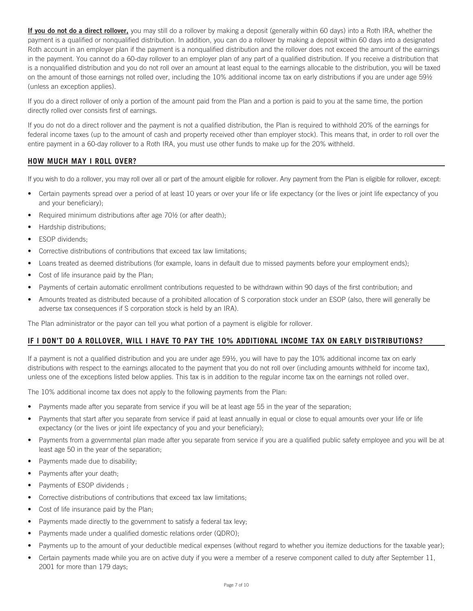**If you do not do a direct rollover,** you may still do a rollover by making a deposit (generally within 60 days) into a Roth IRA, whether the payment is a qualified or nonqualified distribution. In addition, you can do a rollover by making a deposit within 60 days into a designated Roth account in an employer plan if the payment is a nonqualified distribution and the rollover does not exceed the amount of the earnings in the payment. You cannot do a 60-day rollover to an employer plan of any part of a qualified distribution. If you receive a distribution that is a nonqualified distribution and you do not roll over an amount at least equal to the earnings allocable to the distribution, you will be taxed on the amount of those earnings not rolled over, including the 10% additional income tax on early distributions if you are under age 59½ (unless an exception applies).

If you do a direct rollover of only a portion of the amount paid from the Plan and a portion is paid to you at the same time, the portion directly rolled over consists first of earnings.

If you do not do a direct rollover and the payment is not a qualified distribution, the Plan is required to withhold 20% of the earnings for federal income taxes (up to the amount of cash and property received other than employer stock). This means that, in order to roll over the entire payment in a 60-day rollover to a Roth IRA, you must use other funds to make up for the 20% withheld.

# **HOW MUCH MAY I ROLL OVER?**

If you wish to do a rollover, you may roll over all or part of the amount eligible for rollover. Any payment from the Plan is eligible for rollover, except:

- Certain payments spread over a period of at least 10 years or over your life or life expectancy (or the lives or joint life expectancy of you and your beneficiary);
- Required minimum distributions after age 70½ (or after death);
- Hardship distributions;
- ESOP dividends;
- Corrective distributions of contributions that exceed tax law limitations;
- Loans treated as deemed distributions (for example, loans in default due to missed payments before your employment ends);
- Cost of life insurance paid by the Plan;
- Payments of certain automatic enrollment contributions requested to be withdrawn within 90 days of the first contribution; and
- Amounts treated as distributed because of a prohibited allocation of S corporation stock under an ESOP (also, there will generally be adverse tax consequences if S corporation stock is held by an IRA).

The Plan administrator or the payor can tell you what portion of a payment is eligible for rollover.

# **IF I DON'T DO A ROLLOVER, WILL I HAVE TO PAY THE 10% ADDITIONAL INCOME TAX ON EARLY DISTRIBUTIONS?**

If a payment is not a qualified distribution and you are under age 59½, you will have to pay the 10% additional income tax on early distributions with respect to the earnings allocated to the payment that you do not roll over (including amounts withheld for income tax), unless one of the exceptions listed below applies. This tax is in addition to the regular income tax on the earnings not rolled over.

The 10% additional income tax does not apply to the following payments from the Plan:

- Payments made after you separate from service if you will be at least age 55 in the year of the separation;
- Payments that start after you separate from service if paid at least annually in equal or close to equal amounts over your life or life expectancy (or the lives or joint life expectancy of you and your beneficiary);
- Payments from a governmental plan made after you separate from service if you are a qualified public safety employee and you will be at least age 50 in the year of the separation;
- Payments made due to disability;
- Payments after your death;
- Payments of ESOP dividends ;
- Corrective distributions of contributions that exceed tax law limitations;
- Cost of life insurance paid by the Plan;
- Payments made directly to the government to satisfy a federal tax levy;
- Payments made under a qualified domestic relations order (QDRO);
- Payments up to the amount of your deductible medical expenses (without regard to whether you itemize deductions for the taxable year);
- Certain payments made while you are on active duty if you were a member of a reserve component called to duty after September 11, 2001 for more than 179 days;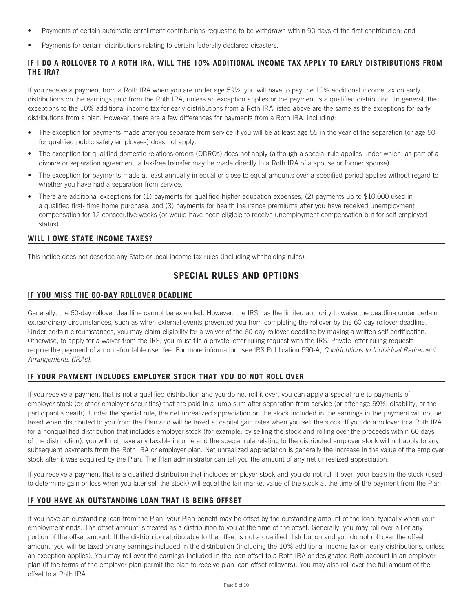- Payments of certain automatic enrollment contributions requested to be withdrawn within 90 days of the first contribution; and
- Payments for certain distributions relating to certain federally declared disasters.

# **IF I DO A ROLLOVER TO A ROTH IRA, WILL THE 10% ADDITIONAL INCOME TAX APPLY TO EARLY DISTRIBUTIONS FROM THE IRA?**

If you receive a payment from a Roth IRA when you are under age 59½, you will have to pay the 10% additional income tax on early distributions on the earnings paid from the Roth IRA, unless an exception applies or the payment is a qualified distribution. In general, the exceptions to the 10% additional income tax for early distributions from a Roth IRA listed above are the same as the exceptions for early distributions from a plan. However, there are a few differences for payments from a Roth IRA, including:

- The exception for payments made after you separate from service if you will be at least age 55 in the year of the separation (or age 50 for qualified public safety employees) does not apply.
- The exception for qualified domestic relations orders (QDROs) does not apply (although a special rule applies under which, as part of a divorce or separation agreement, a tax-free transfer may be made directly to a Roth IRA of a spouse or former spouse).
- The exception for payments made at least annually in equal or close to equal amounts over a specified period applies without regard to whether you have had a separation from service.
- There are additional exceptions for (1) payments for qualified higher education expenses, (2) payments up to \$10,000 used in a qualified first- time home purchase, and (3) payments for health insurance premiums after you have received unemployment compensation for 12 consecutive weeks (or would have been eligible to receive unemployment compensation but for self-employed status).

# **WILL I OWE STATE INCOME TAXES?**

This notice does not describe any State or local income tax rules (including withholding rules).

# **SPECIAL RULES AND OPTIONS**

# **IF YOU MISS THE 60-DAY ROLLOVER DEADLINE**

Generally, the 60-day rollover deadline cannot be extended. However, the IRS has the limited authority to waive the deadline under certain extraordinary circumstances, such as when external events prevented you from completing the rollover by the 60-day rollover deadline. Under certain circumstances, you may claim eligibility for a waiver of the 60-day rollover deadline by making a written self-certification. Otherwise, to apply for a waiver from the IRS, you must file a private letter ruling request with the IRS. Private letter ruling requests require the payment of a nonrefundable user fee. For more information, see IRS Publication 590-A, *Contributions to Individual Retirement Arrangements (IRAs)*.

# **IF YOUR PAYMENT INCLUDES EMPLOYER STOCK THAT YOU DO NOT ROLL OVER**

If you receive a payment that is not a qualified distribution and you do not roll it over, you can apply a special rule to payments of employer stock (or other employer securities) that are paid in a lump sum after separation from service (or after age 59½, disability, or the participant's death). Under the special rule, the net unrealized appreciation on the stock included in the earnings in the payment will not be taxed when distributed to you from the Plan and will be taxed at capital gain rates when you sell the stock. If you do a rollover to a Roth IRA for a nonqualified distribution that includes employer stock (for example, by selling the stock and rolling over the proceeds within 60 days of the distribution), you will not have any taxable income and the special rule relating to the distributed employer stock will not apply to any subsequent payments from the Roth IRA or employer plan. Net unrealized appreciation is generally the increase in the value of the employer stock after it was acquired by the Plan. The Plan administrator can tell you the amount of any net unrealized appreciation.

If you receive a payment that is a qualified distribution that includes employer stock and you do not roll it over, your basis in the stock (used to determine gain or loss when you later sell the stock) will equal the fair market value of the stock at the time of the payment from the Plan.

# **IF YOU HAVE AN OUTSTANDING LOAN THAT IS BEING OFFSET**

If you have an outstanding loan from the Plan, your Plan benefit may be offset by the outstanding amount of the loan, typically when your employment ends. The offset amount is treated as a distribution to you at the time of the offset. Generally, you may roll over all or any portion of the offset amount. If the distribution attributable to the offset is not a qualified distribution and you do not roll over the offset amount, you will be taxed on any earnings included in the distribution (including the 10% additional income tax on early distributions, unless an exception applies). You may roll over the earnings included in the loan offset to a Roth IRA or designated Roth account in an employer plan (if the terms of the employer plan permit the plan to receive plan loan offset rollovers). You may also roll over the full amount of the offset to a Roth IRA.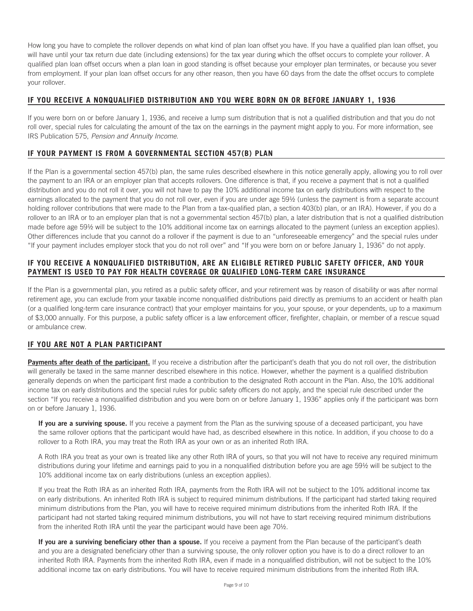How long you have to complete the rollover depends on what kind of plan loan offset you have. If you have a qualified plan loan offset, you will have until your tax return due date (including extensions) for the tax year during which the offset occurs to complete your rollover. A qualified plan loan offset occurs when a plan loan in good standing is offset because your employer plan terminates, or because you sever from employment. If your plan loan offset occurs for any other reason, then you have 60 days from the date the offset occurs to complete your rollover.

# **IF YOU RECEIVE A NONQUALIFIED DISTRIBUTION AND YOU WERE BORN ON OR BEFORE JANUARY 1, 1936**

If you were born on or before January 1, 1936, and receive a lump sum distribution that is not a qualified distribution and that you do not roll over, special rules for calculating the amount of the tax on the earnings in the payment might apply to you. For more information, see IRS Publication 575, *Pension and Annuity Income.*

# **IF YOUR PAYMENT IS FROM A GOVERNMENTAL SECTION 457(B) PLAN**

If the Plan is a governmental section 457(b) plan, the same rules described elsewhere in this notice generally apply, allowing you to roll over the payment to an IRA or an employer plan that accepts rollovers. One difference is that, if you receive a payment that is not a qualified distribution and you do not roll it over, you will not have to pay the 10% additional income tax on early distributions with respect to the earnings allocated to the payment that you do not roll over, even if you are under age 59½ (unless the payment is from a separate account holding rollover contributions that were made to the Plan from a tax-qualified plan, a section 403(b) plan, or an IRA). However, if you do a rollover to an IRA or to an employer plan that is not a governmental section 457(b) plan, a later distribution that is not a qualified distribution made before age 59½ will be subject to the 10% additional income tax on earnings allocated to the payment (unless an exception applies). Other differences include that you cannot do a rollover if the payment is due to an "unforeseeable emergency" and the special rules under "If your payment includes employer stock that you do not roll over" and "If you were born on or before January 1, 1936" do not apply.

# **IF YOU RECEIVE A NONQUALIFIED DISTRIBUTION, ARE AN ELIGIBLE RETIRED PUBLIC SAFETY OFFICER, AND YOUR PAYMENT IS USED TO PAY FOR HEALTH COVERAGE OR QUALIFIED LONG-TERM CARE INSURANCE**

If the Plan is a governmental plan, you retired as a public safety officer, and your retirement was by reason of disability or was after normal retirement age, you can exclude from your taxable income nonqualified distributions paid directly as premiums to an accident or health plan (or a qualified long-term care insurance contract) that your employer maintains for you, your spouse, or your dependents, up to a maximum of \$3,000 annually. For this purpose, a public safety officer is a law enforcement officer, firefighter, chaplain, or member of a rescue squad or ambulance crew.

# **IF YOU ARE NOT A PLAN PARTICIPANT**

**Payments after death of the participant.** If you receive a distribution after the participant's death that you do not roll over, the distribution will generally be taxed in the same manner described elsewhere in this notice. However, whether the payment is a qualified distribution generally depends on when the participant first made a contribution to the designated Roth account in the Plan. Also, the 10% additional income tax on early distributions and the special rules for public safety officers do not apply, and the special rule described under the section "If you receive a nonqualified distribution and you were born on or before January 1, 1936" applies only if the participant was born on or before January 1, 1936.

**If you are a surviving spouse.** If you receive a payment from the Plan as the surviving spouse of a deceased participant, you have the same rollover options that the participant would have had, as described elsewhere in this notice. In addition, if you choose to do a rollover to a Roth IRA, you may treat the Roth IRA as your own or as an inherited Roth IRA.

A Roth IRA you treat as your own is treated like any other Roth IRA of yours, so that you will not have to receive any required minimum distributions during your lifetime and earnings paid to you in a nonqualified distribution before you are age 59½ will be subject to the 10% additional income tax on early distributions (unless an exception applies).

If you treat the Roth IRA as an inherited Roth IRA, payments from the Roth IRA will not be subject to the 10% additional income tax on early distributions. An inherited Roth IRA is subject to required minimum distributions. If the participant had started taking required minimum distributions from the Plan, you will have to receive required minimum distributions from the inherited Roth IRA. If the participant had not started taking required minimum distributions, you will not have to start receiving required minimum distributions from the inherited Roth IRA until the year the participant would have been age 70½.

**If you are a surviving beneficiary other than a spouse.** If you receive a payment from the Plan because of the participant's death and you are a designated beneficiary other than a surviving spouse, the only rollover option you have is to do a direct rollover to an inherited Roth IRA. Payments from the inherited Roth IRA, even if made in a nonqualified distribution, will not be subject to the 10% additional income tax on early distributions. You will have to receive required minimum distributions from the inherited Roth IRA.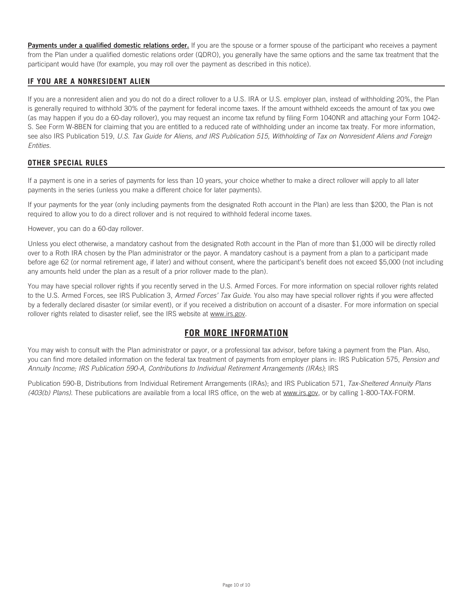Payments under a qualified domestic relations order. If you are the spouse or a former spouse of the participant who receives a payment from the Plan under a qualified domestic relations order (QDRO), you generally have the same options and the same tax treatment that the participant would have (for example, you may roll over the payment as described in this notice).

# **IF YOU ARE A NONRESIDENT ALIEN**

If you are a nonresident alien and you do not do a direct rollover to a U.S. IRA or U.S. employer plan, instead of withholding 20%, the Plan is generally required to withhold 30% of the payment for federal income taxes. If the amount withheld exceeds the amount of tax you owe (as may happen if you do a 60-day rollover), you may request an income tax refund by filing Form 1040NR and attaching your Form 1042- S. See Form W-8BEN for claiming that you are entitled to a reduced rate of withholding under an income tax treaty. For more information, see also IRS Publication 519, *U.S. Tax Guide for Aliens, and IRS Publication 515, Withholding of Tax on Nonresident Aliens and Foreign Entities.*

# **OTHER SPECIAL RULES**

If a payment is one in a series of payments for less than 10 years, your choice whether to make a direct rollover will apply to all later payments in the series (unless you make a different choice for later payments).

If your payments for the year (only including payments from the designated Roth account in the Plan) are less than \$200, the Plan is not required to allow you to do a direct rollover and is not required to withhold federal income taxes.

However, you can do a 60-day rollover.

Unless you elect otherwise, a mandatory cashout from the designated Roth account in the Plan of more than \$1,000 will be directly rolled over to a Roth IRA chosen by the Plan administrator or the payor. A mandatory cashout is a payment from a plan to a participant made before age 62 (or normal retirement age, if later) and without consent, where the participant's benefit does not exceed \$5,000 (not including any amounts held under the plan as a result of a prior rollover made to the plan).

You may have special rollover rights if you recently served in the U.S. Armed Forces. For more information on special rollover rights related to the U.S. Armed Forces, see IRS Publication 3, *Armed Forces' Tax Guide*. You also may have special rollover rights if you were affected by a federally declared disaster (or similar event), or if you received a distribution on account of a disaster. For more information on special rollover rights related to disaster relief, see the IRS website at www.irs.gov.

# **FOR MORE INFORMATION**

You may wish to consult with the Plan administrator or payor, or a professional tax advisor, before taking a payment from the Plan. Also, you can find more detailed information on the federal tax treatment of payments from employer plans in: IRS Publication 575, *Pension and Annuity Income; IRS Publication 590-A, Contributions to Individual Retirement Arrangements (IRAs)*; IRS

Publication 590-B, Distributions from Individual Retirement Arrangements (IRAs); and IRS Publication 571, *Tax-Sheltered Annuity Plans (403(b) Plans)*. These publications are available from a local IRS office, on the web at www.irs.gov, or by calling 1-800-TAX-FORM.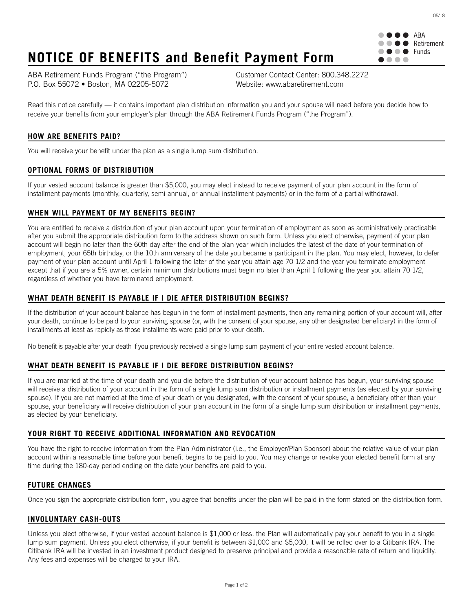

05/18

# **NOTICE OF BENEFITS and Benefit Payment Form**

ABA Retirement Funds Program ("the Program") Customer Contact Center: 800.348.2272 P.O. Box 55072 • Boston, MA 02205-5072 Website: www.abaretirement.com

Read this notice carefully — it contains important plan distribution information you and your spouse will need before you decide how to receive your benefits from your employer's plan through the ABA Retirement Funds Program ("the Program").

# **HOW ARE BENEFITS PAID?**

You will receive your benefit under the plan as a single lump sum distribution.

# **OPTIONAL FORMS OF DISTRIBUTION**

If your vested account balance is greater than \$5,000, you may elect instead to receive payment of your plan account in the form of installment payments (monthly, quarterly, semi-annual, or annual installment payments) or in the form of a partial withdrawal.

# **WHEN WILL PAYMENT OF MY BENEFITS BEGIN?**

You are entitled to receive a distribution of your plan account upon your termination of employment as soon as administratively practicable after you submit the appropriate distribution form to the address shown on such form. Unless you elect otherwise, payment of your plan account will begin no later than the 60th day after the end of the plan year which includes the latest of the date of your termination of employment, your 65th birthday, or the 10th anniversary of the date you became a participant in the plan. You may elect, however, to defer payment of your plan account until April 1 following the later of the year you attain age 70 1/2 and the year you terminate employment except that if you are a 5% owner, certain minimum distributions must begin no later than April 1 following the year you attain 70 1/2, regardless of whether you have terminated employment.

# **WHAT DEATH BENEFIT IS PAYABLE IF I DIE AFTER DISTRIBUTION BEGINS?**

If the distribution of your account balance has begun in the form of installment payments, then any remaining portion of your account will, after your death, continue to be paid to your surviving spouse (or, with the consent of your spouse, any other designated beneficiary) in the form of installments at least as rapidly as those installments were paid prior to your death.

No benefit is payable after your death if you previously received a single lump sum payment of your entire vested account balance.

# **WHAT DEATH BENEFIT IS PAYABLE IF I DIE BEFORE DISTRIBUTION BEGINS?**

If you are married at the time of your death and you die before the distribution of your account balance has begun, your surviving spouse will receive a distribution of your account in the form of a single lump sum distribution or installment payments (as elected by your surviving spouse). If you are not married at the time of your death or you designated, with the consent of your spouse, a beneficiary other than your spouse, your beneficiary will receive distribution of your plan account in the form of a single lump sum distribution or installment payments, as elected by your beneficiary.

# **YOUR RIGHT TO RECEIVE ADDITIONAL INFORMATION AND REVOCATION**

You have the right to receive information from the Plan Administrator (i.e., the Employer/Plan Sponsor) about the relative value of your plan account within a reasonable time before your benefit begins to be paid to you. You may change or revoke your elected benefit form at any time during the 180-day period ending on the date your benefits are paid to you.

# **FUTURE CHANGES**

Once you sign the appropriate distribution form, you agree that benefits under the plan will be paid in the form stated on the distribution form.

# **INVOLUNTARY CASH-OUTS**

Unless you elect otherwise, if your vested account balance is \$1,000 or less, the Plan will automatically pay your benefit to you in a single lump sum payment. Unless you elect otherwise, if your benefit is between \$1,000 and \$5,000, it will be rolled over to a Citibank IRA. The Citibank IRA will be invested in an investment product designed to preserve principal and provide a reasonable rate of return and liquidity. Any fees and expenses will be charged to your IRA.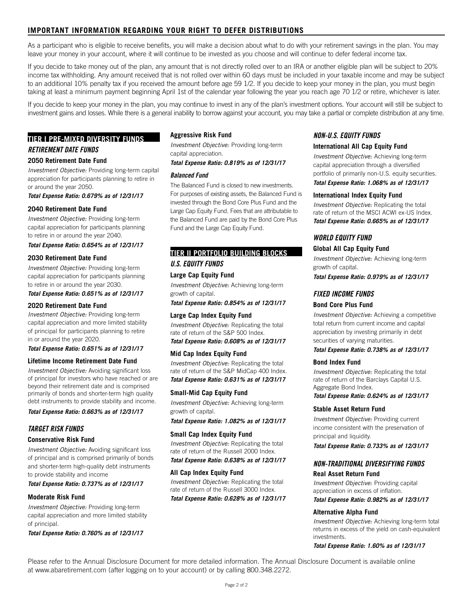# **IMPORTANT INFORMATION REGARDING YOUR RIGHT TO DEFER DISTRIBUTIONS**

As a participant who is eligible to receive benefits, you will make a decision about what to do with your retirement savings in the plan. You may leave your money in your account, where it will continue to be invested as you choose and will continue to defer federal income tax.

If you decide to take money out of the plan, any amount that is not directly rolled over to an IRA or another eligible plan will be subject to 20% income tax withholding. Any amount received that is not rolled over within 60 days must be included in your taxable income and may be subject to an additional 10% penalty tax if you received the amount before age 59 1/2. If you decide to keep your money in the plan, you must begin taking at least a minimum payment beginning April 1st of the calendar year following the year you reach age 70 1/2 or retire, whichever is later.

If you decide to keep your money in the plan, you may continue to invest in any of the plan's investment options. Your account will still be subject to investment gains and losses. While there is a general inability to borrow against your account, you may take a partial or complete distribution at any time.

# **TIER I PRE-MIXED DIVERSITY FUNDS** *RETIREMENT DATE FUNDS*

### **2050 Retirement Date Fund**

*Investment Objective:* Providing long-term capital appreciation for participants planning to retire in or around the year 2050.

*Total Expense Ratio: 0.679% as of 12/31/17*

### **2040 Retirement Date Fund**

*Investment Objective:* Providing long-term capital appreciation for participants planning to retire in or around the year 2040.

*Total Expense Ratio: 0.654% as of 12/31/17*

### **2030 Retirement Date Fund**

*Investment Objective:* Providing long-term capital appreciation for participants planning to retire in or around the year 2030. *Total Expense Ratio: 0.651% as of 12/31/17*

### **2020 Retirement Date Fund**

*Investment Objective:* Providing long-term capital appreciation and more limited stability of principal for participants planning to retire in or around the year 2020.

### *Total Expense Ratio: 0.651% as of 12/31/17*

### **Lifetime Income Retirement Date Fund**

*Investment Objective:* Avoiding significant loss of principal for investors who have reached or are beyond their retirement date and is comprised primarily of bonds and shorter-term high quality debt instruments to provide stability and income.

*Total Expense Ratio: 0.663% as of 12/31/17*

### *TARGET RISK FUNDS*

### **Conservative Risk Fund**

*Investment Objective:* Avoiding significant loss of principal and is comprised primarily of bonds and shorter-term high-quality debt instruments to provide stability and income

*Total Expense Ratio: 0.737% as of 12/31/17*

### **Moderate Risk Fund**

*Investment Objective:* Providing long-term capital appreciation and more limited stability of principal.

*Total Expense Ratio: 0.760% as of 12/31/17*

### **Aggressive Risk Fund**

*Investment Objective:* Providing long-term capital appreciation.

### *Total Expense Ratio: 0.819% as of 12/31/17*

### *Balanced Fund*

The Balanced Fund is closed to new investments. For purposes of existing assets, the Balanced Fund is invested through the Bond Core Plus Fund and the Large Cap Equity Fund. Fees that are attributable to the Balanced Fund are paid by the Bond Core Plus Fund and the Large Cap Equity Fund.

# **TIER II PORTFOLIO BUILDING BLOCKS** *U.S. EQUITY FUNDS*

# **Large Cap Equity Fund**

*Investment Objective:* Achieving long-term growth of capital.

*Total Expense Ratio: 0.854% as of 12/31/17*

### **Large Cap Index Equity Fund**

*Investment Objective:* Replicating the total rate of return of the S&P 500 Index.

*Total Expense Ratio: 0.608% as of 12/31/17*

### **Mid Cap Index Equity Fund**

*Investment Objective:* Replicating the total rate of return of the S&P MidCap 400 Index. *Total Expense Ratio: 0.631% as of 12/31/17*

### **Small-Mid Cap Equity Fund**

*Investment Objective:* Achieving long-term growth of capital.

*Total Expense Ratio: 1.082% as of 12/31/17*

### **Small Cap Index Equity Fund**

*Investment Objective:* Replicating the total rate of return of the Russell 2000 Index. *Total Expense Ratio: 0.638% as of 12/31/17*

### **All Cap Index Equity Fund**

*Investment Objective:* Replicating the total rate of return of the Russell 3000 Index. *Total Expense Ratio: 0.628% as of 12/31/17*

### *NON-U.S. EQUITY FUNDS*

#### **International All Cap Equity Fund**

*Investment Objective:* Achieving long-term capital appreciation through a diversified portfolio of primarily non-U.S. equity securities.

*Total Expense Ratio: 1.068% as of 12/31/17*

### **International Index Equity Fund**

*Investment Objective:* Replicating the total rate of return of the MSCI ACWI ex-US Index. *Total Expense Ratio: 0.665% as of 12/31/17*

### *WORLD EQUITY FUND*

#### **Global All Cap Equity Fund**

*Investment Objective:* Achieving long-term growth of capital.

*Total Expense Ratio: 0.979% as of 12/31/17*

### *FIXED INCOME FUNDS*

### **Bond Core Plus Fund**

*Investment Objective:* Achieving a competitive total return from current income and capital appreciation by investing primarily in debt securities of varying maturities.

### *Total Expense Ratio: 0.738% as of 12/31/17*

### **Bond Index Fund**

*Investment Objective:* Replicating the total rate of return of the Barclays Capital U.S. Aggregate Bond Index. *Total Expense Ratio: 0.624% as of 12/31/17*

# **Stable Asset Return Fund**

*Investment Objective:* Providing current income consistent with the preservation of principal and liquidity.

*Total Expense Ratio: 0.733% as of 12/31/17*

### *NON-TRADITIONAL DIVERSIFYING FUNDS* **Real Asset Return Fund**

*Investment Objective:* Providing capital appreciation in excess of inflation.

*Total Expense Ratio: 0.982% as of 12/31/17*

### **Alternative Alpha Fund**

*Investment Objective:* Achieving long-term total returns in excess of the yield on cash-equivalent investments.

*Total Expense Ratio: 1.60% as of 12/31/17*

Please refer to the Annual Disclosure Document for more detailed information. The Annual Disclosure Document is available online at www.abaretirement.com (after logging on to your account) or by calling 800.348.2272.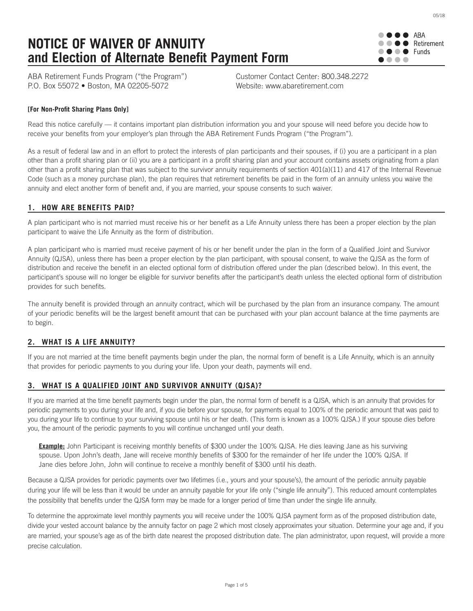# **NOTICE OF WAIVER OF ANNUITY and Election of Alternate Benefit Payment Form**

ABA  $\bullet$  Retirement  $\bullet \bullet \bullet$  Funds ....

05/18

ABA Retirement Funds Program ("the Program") Customer Contact Center: 800.348.2272 P.O. Box 55072 • Boston, MA 02205-5072 Website: www.abaretirement.com

# **[For Non-Profit Sharing Plans Only]**

Read this notice carefully — it contains important plan distribution information you and your spouse will need before you decide how to receive your benefits from your employer's plan through the ABA Retirement Funds Program ("the Program").

As a result of federal law and in an effort to protect the interests of plan participants and their spouses, if (i) you are a participant in a plan other than a profit sharing plan or (ii) you are a participant in a profit sharing plan and your account contains assets originating from a plan other than a profit sharing plan that was subject to the survivor annuity requirements of section 401(a)(11) and 417 of the Internal Revenue Code (such as a money purchase plan), the plan requires that retirement benefits be paid in the form of an annuity unless you waive the annuity and elect another form of benefit and, if you are married, your spouse consents to such waiver.

# **1. HOW ARE BENEFITS PAID?**

A plan participant who is not married must receive his or her benefit as a Life Annuity unless there has been a proper election by the plan participant to waive the Life Annuity as the form of distribution.

A plan participant who is married must receive payment of his or her benefit under the plan in the form of a Qualified Joint and Survivor Annuity (QJSA), unless there has been a proper election by the plan participant, with spousal consent, to waive the QJSA as the form of distribution and receive the benefit in an elected optional form of distribution offered under the plan (described below). In this event, the participant's spouse will no longer be eligible for survivor benefits after the participant's death unless the elected optional form of distribution provides for such benefits.

The annuity benefit is provided through an annuity contract, which will be purchased by the plan from an insurance company. The amount of your periodic benefits will be the largest benefit amount that can be purchased with your plan account balance at the time payments are to begin.

# **2. WHAT IS A LIFE ANNUITY?**

If you are not married at the time benefit payments begin under the plan, the normal form of benefit is a Life Annuity, which is an annuity that provides for periodic payments to you during your life. Upon your death, payments will end.

# **3. WHAT IS A QUALIFIED JOINT AND SURVIVOR ANNUITY (QJSA)?**

If you are married at the time benefit payments begin under the plan, the normal form of benefit is a QJSA, which is an annuity that provides for periodic payments to you during your life and, if you die before your spouse, for payments equal to 100% of the periodic amount that was paid to you during your life to continue to your surviving spouse until his or her death. (This form is known as a 100% QJSA.) If your spouse dies before you, the amount of the periodic payments to you will continue unchanged until your death.

**Example:** John Participant is receiving monthly benefits of \$300 under the 100% QJSA. He dies leaving Jane as his surviving spouse. Upon John's death, Jane will receive monthly benefits of \$300 for the remainder of her life under the 100% QJSA. If Jane dies before John, John will continue to receive a monthly benefit of \$300 until his death.

Because a QJSA provides for periodic payments over two lifetimes (i.e., yours and your spouse's), the amount of the periodic annuity payable during your life will be less than it would be under an annuity payable for your life only ("single life annuity"). This reduced amount contemplates the possibility that benefits under the QJSA form may be made for a longer period of time than under the single life annuity.

To determine the approximate level monthly payments you will receive under the 100% QJSA payment form as of the proposed distribution date, divide your vested account balance by the annuity factor on page 2 which most closely approximates your situation. Determine your age and, if you are married, your spouse's age as of the birth date nearest the proposed distribution date. The plan administrator, upon request, will provide a more precise calculation.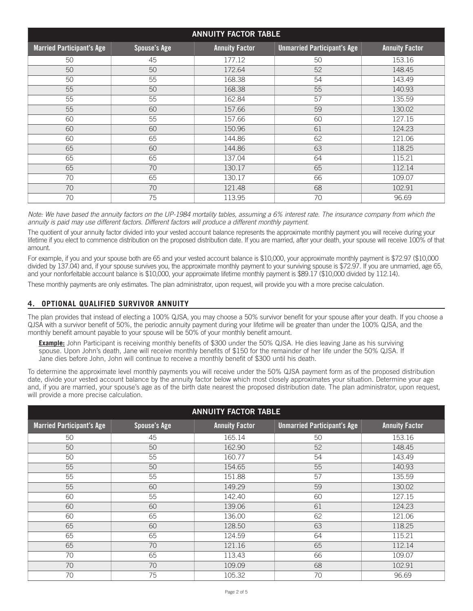| <b>ANNUITY FACTOR TABLE</b>      |                     |                       |                                    |                       |
|----------------------------------|---------------------|-----------------------|------------------------------------|-----------------------|
| <b>Married Participant's Age</b> | <b>Spouse's Age</b> | <b>Annuity Factor</b> | <b>Unmarried Participant's Age</b> | <b>Annuity Factor</b> |
| 50                               | 45                  | 177.12                | 50                                 | 153.16                |
| 50                               | 50                  | 172.64                | 52                                 | 148.45                |
| 50                               | 55                  | 168.38                | 54                                 | 143.49                |
| 55                               | 50                  | 168.38                | 55                                 | 140.93                |
| 55                               | 55                  | 162.84                | 57                                 | 135.59                |
| 55                               | 60                  | 157.66                | 59                                 | 130.02                |
| 60                               | 55                  | 157.66                | 60                                 | 127.15                |
| 60                               | 60                  | 150.96                | 61                                 | 124.23                |
| 60                               | 65                  | 144.86                | 62                                 | 121.06                |
| 65                               | 60                  | 144.86                | 63                                 | 118.25                |
| 65                               | 65                  | 137.04                | 64                                 | 115.21                |
| 65                               | 70                  | 130.17                | 65                                 | 112.14                |
| 70                               | 65                  | 130.17                | 66                                 | 109.07                |
| 70                               | 70                  | 121.48                | 68                                 | 102.91                |
| 70                               | 75                  | 113.95                | 70                                 | 96.69                 |

Note: We have based the annuity factors on the UP-1984 mortality tables, assuming a 6% interest rate. The insurance company from which the *annuity is paid may use different factors. Different factors will produce a different monthly payment.*

The quotient of your annuity factor divided into your vested account balance represents the approximate monthly payment you will receive during your lifetime if you elect to commence distribution on the proposed distribution date. If you are married, after your death, your spouse will receive 100% of that amount.

For example, if you and your spouse both are 65 and your vested account balance is \$10,000, your approximate monthly payment is \$72.97 (\$10,000 divided by 137.04) and, if your spouse survives you, the approximate monthly payment to your surviving spouse is \$72.97. If you are unmarried, age 65, and your nonforfeitable account balance is \$10,000, your approximate lifetime monthly payment is \$89.17 (\$10,000 divided by 112.14).

These monthly payments are only estimates. The plan administrator, upon request, will provide you with a more precise calculation.

# **4. OPTIONAL QUALIFIED SURVIVOR ANNUITY**

The plan provides that instead of electing a 100% QJSA, you may choose a 50% survivor benefit for your spouse after your death. If you choose a QJSA with a survivor benefit of 50%, the periodic annuity payment during your lifetime will be greater than under the 100% QJSA, and the monthly benefit amount payable to your spouse will be 50% of your monthly benefit amount.

**Example:** John Participant is receiving monthly benefits of \$300 under the 50% QJSA. He dies leaving Jane as his surviving spouse. Upon John's death, Jane will receive monthly benefits of \$150 for the remainder of her life under the 50% QJSA. If Jane dies before John, John will continue to receive a monthly benefit of \$300 until his death.

To determine the approximate level monthly payments you will receive under the 50% QJSA payment form as of the proposed distribution date, divide your vested account balance by the annuity factor below which most closely approximates your situation. Determine your age and, if you are married, your spouse's age as of the birth date nearest the proposed distribution date. The plan administrator, upon request, will provide a more precise calculation.

| <b>ANNUITY FACTOR TABLE</b>      |                     |                       |                                    |                       |
|----------------------------------|---------------------|-----------------------|------------------------------------|-----------------------|
| <b>Married Participant's Age</b> | <b>Spouse's Age</b> | <b>Annuity Factor</b> | <b>Unmarried Participant's Age</b> | <b>Annuity Factor</b> |
| 50                               | 45                  | 165.14                | 50                                 | 153.16                |
| 50                               | 50                  | 162.90                | 52                                 | 148.45                |
| 50                               | 55                  | 160.77                | 54                                 | 143.49                |
| 55                               | 50                  | 154.65                | 55                                 | 140.93                |
| 55                               | 55                  | 151.88                | 57                                 | 135.59                |
| 55                               | 60                  | 149.29                | 59                                 | 130.02                |
| 60                               | 55                  | 142.40                | 60                                 | 127.15                |
| 60                               | 60                  | 139.06                | 61                                 | 124.23                |
| 60                               | 65                  | 136.00                | 62                                 | 121.06                |
| 65                               | 60                  | 128.50                | 63                                 | 118.25                |
| 65                               | 65                  | 124.59                | 64                                 | 115.21                |
| 65                               | 70                  | 121.16                | 65                                 | 112.14                |
| 70                               | 65                  | 113.43                | 66                                 | 109.07                |
| 70                               | 70                  | 109.09                | 68                                 | 102.91                |
| 70                               | 75                  | 105.32                | 70                                 | 96.69                 |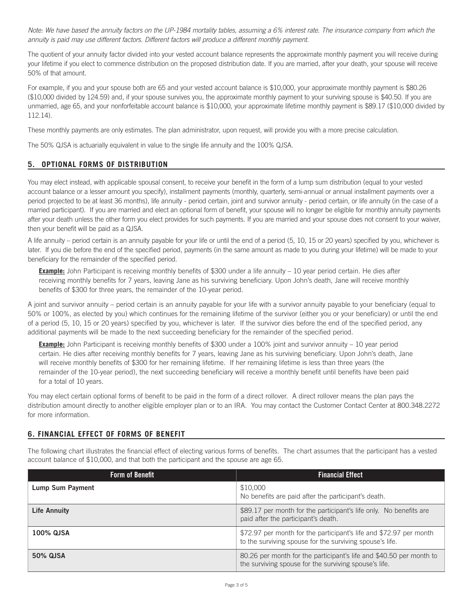Note: We have based the annuity factors on the UP-1984 mortality tables, assuming a 6% interest rate. The insurance company from which the *annuity is paid may use different factors. Different factors will produce a different monthly payment.*

The quotient of your annuity factor divided into your vested account balance represents the approximate monthly payment you will receive during your lifetime if you elect to commence distribution on the proposed distribution date. If you are married, after your death, your spouse will receive 50% of that amount.

For example, if you and your spouse both are 65 and your vested account balance is \$10,000, your approximate monthly payment is \$80.26 (\$10,000 divided by 124.59) and, if your spouse survives you, the approximate monthly payment to your surviving spouse is \$40.50. If you are unmarried, age 65, and your nonforfeitable account balance is \$10,000, your approximate lifetime monthly payment is \$89.17 (\$10,000 divided by 112.14).

These monthly payments are only estimates. The plan administrator, upon request, will provide you with a more precise calculation.

The 50% QJSA is actuarially equivalent in value to the single life annuity and the 100% QJSA.

# **5. OPTIONAL FORMS OF DISTRIBUTION**

You may elect instead, with applicable spousal consent, to receive your benefit in the form of a lump sum distribution (equal to your vested account balance or a lesser amount you specify), installment payments (monthly, quarterly, semi-annual or annual installment payments over a period projected to be at least 36 months), life annuity - period certain, joint and survivor annuity - period certain, or life annuity (in the case of a married participant). If you are married and elect an optional form of benefit, your spouse will no longer be eligible for monthly annuity payments after your death unless the other form you elect provides for such payments. If you are married and your spouse does not consent to your waiver, then your benefit will be paid as a QJSA.

A life annuity – period certain is an annuity payable for your life or until the end of a period (5, 10, 15 or 20 years) specified by you, whichever is later. If you die before the end of the specified period, payments (in the same amount as made to you during your lifetime) will be made to your beneficiary for the remainder of the specified period.

**Example:** John Participant is receiving monthly benefits of \$300 under a life annuity – 10 year period certain. He dies after receiving monthly benefits for 7 years, leaving Jane as his surviving beneficiary. Upon John's death, Jane will receive monthly benefits of \$300 for three years, the remainder of the 10-year period.

A joint and survivor annuity – period certain is an annuity payable for your life with a survivor annuity payable to your beneficiary (equal to 50% or 100%, as elected by you) which continues for the remaining lifetime of the survivor (either you or your beneficiary) or until the end of a period (5, 10, 15 or 20 years) specified by you, whichever is later. If the survivor dies before the end of the specified period, any additional payments will be made to the next succeeding beneficiary for the remainder of the specified period.

**Example:** John Participant is receiving monthly benefits of \$300 under a 100% joint and survivor annuity – 10 year period certain. He dies after receiving monthly benefits for 7 years, leaving Jane as his surviving beneficiary. Upon John's death, Jane will receive monthly benefits of \$300 for her remaining lifetime. If her remaining lifetime is less than three years (the remainder of the 10-year period), the next succeeding beneficiary will receive a monthly benefit until benefits have been paid for a total of 10 years.

You may elect certain optional forms of benefit to be paid in the form of a direct rollover. A direct rollover means the plan pays the distribution amount directly to another eligible employer plan or to an IRA. You may contact the Customer Contact Center at 800.348.2272 for more information.

# **6. FINANCIAL EFFECT OF FORMS OF BENEFIT**

The following chart illustrates the financial effect of electing various forms of benefits. The chart assumes that the participant has a vested account balance of \$10,000, and that both the participant and the spouse are age 65.

| <b>Form of Benefit</b> | <b>Financial Effect</b>                                                                                                        |
|------------------------|--------------------------------------------------------------------------------------------------------------------------------|
| Lump Sum Payment       | \$10,000<br>No benefits are paid after the participant's death.                                                                |
| <b>Life Annuity</b>    | \$89.17 per month for the participant's life only. No benefits are<br>paid after the participant's death.                      |
| 100% QJSA              | \$72.97 per month for the participant's life and \$72.97 per month<br>to the surviving spouse for the surviving spouse's life. |
| <b>50% QJSA</b>        | 80.26 per month for the participant's life and \$40.50 per month to<br>the surviving spouse for the surviving spouse's life.   |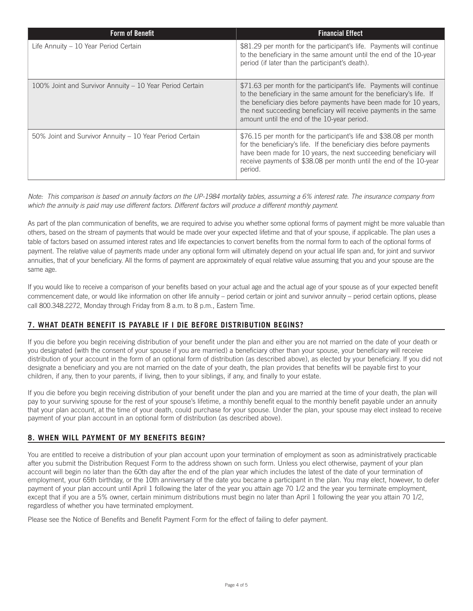| <b>Form of Benefit</b>                                   | <b>Financial Effect</b>                                                                                                                                                                                                                                                                                                               |
|----------------------------------------------------------|---------------------------------------------------------------------------------------------------------------------------------------------------------------------------------------------------------------------------------------------------------------------------------------------------------------------------------------|
| Life Annuity - 10 Year Period Certain                    | \$81.29 per month for the participant's life. Payments will continue<br>to the beneficiary in the same amount until the end of the 10-year<br>period (if later than the participant's death).                                                                                                                                         |
| 100% Joint and Survivor Annuity - 10 Year Period Certain | \$71.63 per month for the participant's life. Payments will continue<br>to the beneficiary in the same amount for the beneficiary's life. If<br>the beneficiary dies before payments have been made for 10 years,<br>the next succeeding beneficiary will receive payments in the same<br>amount until the end of the 10-year period. |
| 50% Joint and Survivor Annuity – 10 Year Period Certain  | \$76.15 per month for the participant's life and \$38.08 per month<br>for the beneficiary's life. If the beneficiary dies before payments<br>have been made for 10 years, the next succeeding beneficiary will<br>receive payments of \$38.08 per month until the end of the 10-year<br>period.                                       |

Note: This comparison is based on annuity factors on the UP-1984 mortality tables, assuming a 6% interest rate. The insurance company from which the annuity is paid may use different factors. Different factors will produce a different monthly payment.

As part of the plan communication of benefits, we are required to advise you whether some optional forms of payment might be more valuable than others, based on the stream of payments that would be made over your expected lifetime and that of your spouse, if applicable. The plan uses a table of factors based on assumed interest rates and life expectancies to convert benefits from the normal form to each of the optional forms of payment. The relative value of payments made under any optional form will ultimately depend on your actual life span and, for joint and survivor annuities, that of your beneficiary. All the forms of payment are approximately of equal relative value assuming that you and your spouse are the same age.

If you would like to receive a comparison of your benefits based on your actual age and the actual age of your spouse as of your expected benefit commencement date, or would like information on other life annuity – period certain or joint and survivor annuity – period certain options, please call 800.348.2272, Monday through Friday from 8 a.m. to 8 p.m., Eastern Time.

# **7. WHAT DEATH BENEFIT IS PAYABLE IF I DIE BEFORE DISTRIBUTION BEGINS?**

If you die before you begin receiving distribution of your benefit under the plan and either you are not married on the date of your death or you designated (with the consent of your spouse if you are married) a beneficiary other than your spouse, your beneficiary will receive distribution of your account in the form of an optional form of distribution (as described above), as elected by your beneficiary. If you did not designate a beneficiary and you are not married on the date of your death, the plan provides that benefits will be payable first to your children, if any, then to your parents, if living, then to your siblings, if any, and finally to your estate.

If you die before you begin receiving distribution of your benefit under the plan and you are married at the time of your death, the plan will pay to your surviving spouse for the rest of your spouse's lifetime, a monthly benefit equal to the monthly benefit payable under an annuity that your plan account, at the time of your death, could purchase for your spouse. Under the plan, your spouse may elect instead to receive payment of your plan account in an optional form of distribution (as described above).

# **8. WHEN WILL PAYMENT OF MY BENEFITS BEGIN?**

You are entitled to receive a distribution of your plan account upon your termination of employment as soon as administratively practicable after you submit the Distribution Request Form to the address shown on such form. Unless you elect otherwise, payment of your plan account will begin no later than the 60th day after the end of the plan year which includes the latest of the date of your termination of employment, your 65th birthday, or the 10th anniversary of the date you became a participant in the plan. You may elect, however, to defer payment of your plan account until April 1 following the later of the year you attain age 70 1/2 and the year you terminate employment, except that if you are a 5% owner, certain minimum distributions must begin no later than April 1 following the year you attain 70 1/2, regardless of whether you have terminated employment.

Please see the Notice of Benefits and Benefit Payment Form for the effect of failing to defer payment.